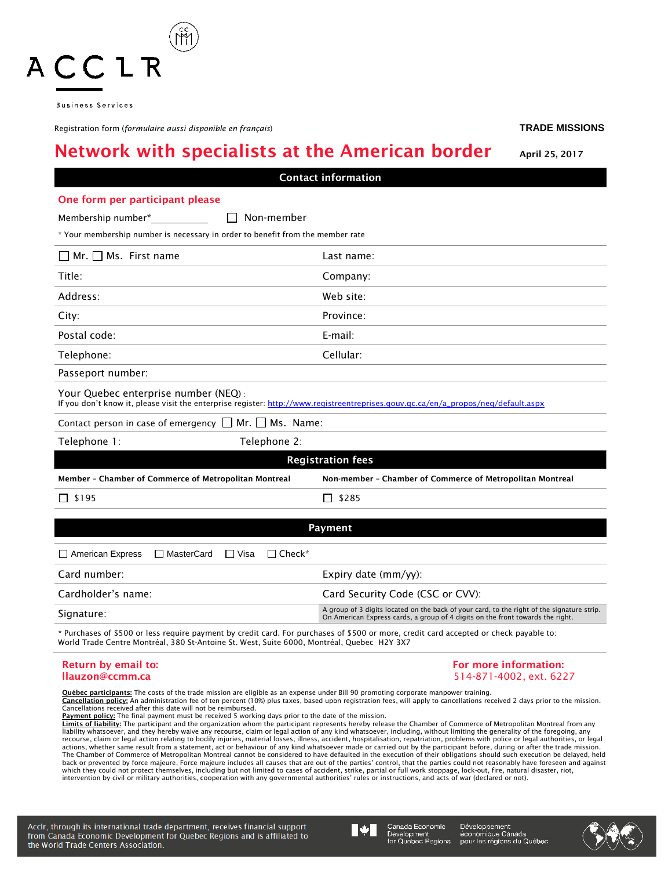| Your Quebec enterprise number (NEQ):<br>If you don't know it, please visit the enterprise register: http://www.registreentreprises.gouv.qc.ca/en/a_propos/neq/default.aspx                                                                                                                              |                                                                                                                                                                       |
|---------------------------------------------------------------------------------------------------------------------------------------------------------------------------------------------------------------------------------------------------------------------------------------------------------|-----------------------------------------------------------------------------------------------------------------------------------------------------------------------|
| Contact person in case of emergency $\Box$ Mr. $\Box$ Ms. Name:                                                                                                                                                                                                                                         |                                                                                                                                                                       |
| Telephone 2:<br>Telephone 1:                                                                                                                                                                                                                                                                            |                                                                                                                                                                       |
|                                                                                                                                                                                                                                                                                                         | <b>Registration fees</b>                                                                                                                                              |
| Member - Chamber of Commerce of Metropolitan Montreal                                                                                                                                                                                                                                                   | Non-member - Chamber of Commerce of Metropolitan Montreal                                                                                                             |
| $\Box$ \$195                                                                                                                                                                                                                                                                                            | \$285<br>$\Box$                                                                                                                                                       |
|                                                                                                                                                                                                                                                                                                         |                                                                                                                                                                       |
|                                                                                                                                                                                                                                                                                                         | Payment                                                                                                                                                               |
| □ MasterCard<br>$\Box$ Check*<br>$\Box$ American Express<br>□ Visa                                                                                                                                                                                                                                      |                                                                                                                                                                       |
| Card number:                                                                                                                                                                                                                                                                                            | Expiry date (mm/yy):                                                                                                                                                  |
| Cardholder's name:                                                                                                                                                                                                                                                                                      | Card Security Code (CSC or CVV):                                                                                                                                      |
| Signature:                                                                                                                                                                                                                                                                                              | A group of 3 digits located on the back of your card, to the right of the signation<br>On American Express cards, a group of 4 digits on the front towards the right. |
| * Purchases of \$500 or less require payment by credit card. For purchases of \$500 or more, credit card accepted or check payable to:<br>World Trade Centre Montréal, 380 St-Antoine St. West, Suite 6000, Montréal, Quebec H2Y 3X7                                                                    |                                                                                                                                                                       |
| Return by email to:                                                                                                                                                                                                                                                                                     | For more information:                                                                                                                                                 |
| llauzon@ccmm.ca                                                                                                                                                                                                                                                                                         | 514-871-4002, ext. 6227                                                                                                                                               |
| Québec participants: The costs of the trade mission are eligible as an expense under Bill 90 promoting corporate manpower training.<br>Cancellation noticy: An administration fee of ten percent (10%) plus taxes based upon registration fees will apply to cancellations received 2 days prior to the |                                                                                                                                                                       |

Network with specialists at the American border April 25, 2017 Contact information One form per participant please Membership number\* Non-member

\* Your membership number is necessary in order to benefit from the member rate Mr. Ms. First name Last name:

| $\Box$ MI. $\Box$ MS. FILST Hallie | Last fiaffie. |
|------------------------------------|---------------|
| Title:                             | Company:      |
| Address:                           | Web site:     |
| City:                              | Province:     |
| Postal code:                       | E-mail:       |
| Telephone:                         | Cellular:     |

Passeport number:

| Contact person in case of emergency $\Box$ Mr. $\Box$ Ms. Name |  |  |  |
|----------------------------------------------------------------|--|--|--|
|                                                                |  |  |  |

| Telephone 1:             |                                                       | Telephone 2:                                              |  |
|--------------------------|-------------------------------------------------------|-----------------------------------------------------------|--|
| <b>Registration fees</b> |                                                       |                                                           |  |
|                          | Member - Chamber of Commerce of Metropolitan Montreal | Non-member - Chamber of Commerce of Metropolitan Montreal |  |
| □ \$195                  |                                                       | \$285<br>$\perp$                                          |  |
|                          |                                                       | Payment                                                   |  |
| American Express         | □ MasterCard □ Visa                                   | $\Box$ Check*                                             |  |

| Card number:       | Expiry date $\frac{mm}{vy}$ :                                                                                                                                                |
|--------------------|------------------------------------------------------------------------------------------------------------------------------------------------------------------------------|
| Cardholder's name: | Card Security Code (CSC or CVV):                                                                                                                                             |
| Signature:         | A group of 3 digits located on the back of your card, to the right of the signature strip.<br>On American Express cards, a group of 4 digits on the front towards the right. |
|                    |                                                                                                                                                                              |

0%) plus taxes, based upon registration fees, will apply to cancellations received 2 days prior to the mission. **CANCELLATIONS CONTROL** FOR A CONTROLLER THE CANCELLATIONS CANCELLATIONS CANCELLATIONS CANCELLATIONS CANCELLATIONS CANCELLATIONS CANCELLATIONS CANCELLATIONS CANCELLATIONS CANCELLATIONS CONTROLLER CONTROLLER CONTROLLER CONT

**Payment policy:** The final payment must be received 5 working days prior to the date of the mission.

<u>Limits of liability:</u> The participant and the organization whom the participant represents hereby release the Chamber of Commerce of Metropolitan Montreal from any<br>liability whatsoever, and they hereby waive any recourse, actions, whether same result from a statement, act or behaviour of any kind whatsoever made or carried out by the participant before, during or after the trade mission.<br>The Chamber of Commerce of Metropolitan Montreal cann back or prevented by force majeure. Force majeure includes all causes that are out of the parties' control, that the parties could not reasonably have foreseen and against which they could not protect themselves, including but not limited to cases of accident, strike, partial or full work stoppage, lock-out, fire, natural disaster, riot,<br>intervention by civil or military authorities, coopera

Acclr, through its international trade department, receives financial support from Canada Economic Development for Quebec Regions and is affiliated to the World Trade Centers Association.



Canada Economic Development<br>for Quebec Regions

Développement économique Canada<br>pour les régions du Québec



ACCLR

**Business Services** 

Registration form (*formulaire aussi disponible en français*) **TRADE MISSIONS**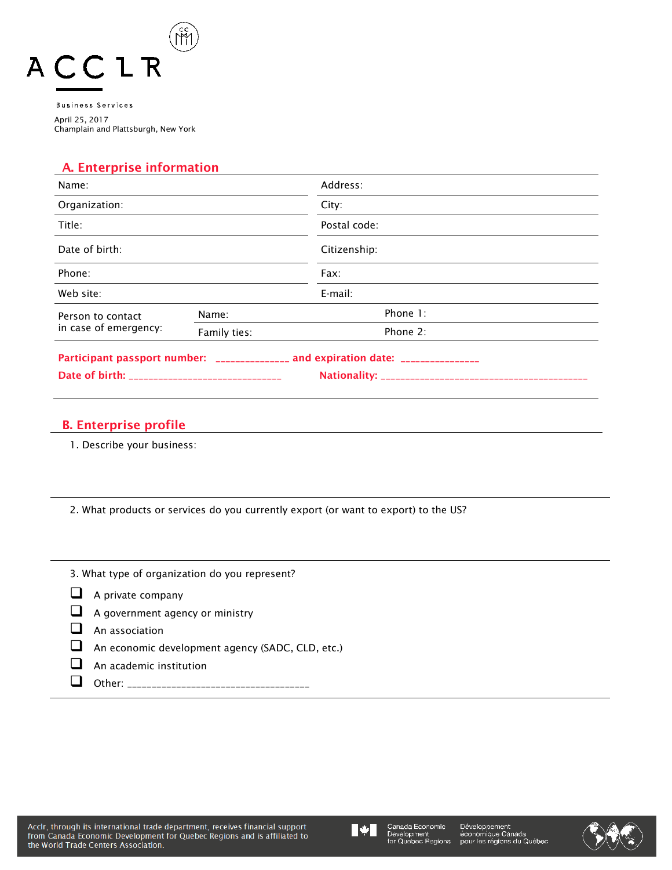

**Business Services** April 25, 2017 Champlain and Plattsburgh, New York

# A. Enterprise information

| Name:                                      |              | Address:                                                                         |
|--------------------------------------------|--------------|----------------------------------------------------------------------------------|
| Organization:                              |              | City:                                                                            |
| Title:                                     |              | Postal code:                                                                     |
| Date of birth:                             |              | Citizenship:                                                                     |
| Phone:                                     |              | Fax:                                                                             |
| Web site:                                  |              | E-mail:                                                                          |
| Person to contact<br>in case of emergency: | Name:        | Phone 1:                                                                         |
|                                            | Family ties: | Phone 2:                                                                         |
|                                            |              | Participant passport number: _______________ and expiration date: ______________ |

# B. Enterprise profile

1. Describe your business:

2. What products or services do you currently export (or want to export) to the US?

| 3. What type of organization do you represent?          |
|---------------------------------------------------------|
| $\Box$ A private company                                |
| $\Box$ A government agency or ministry                  |
| An association                                          |
| $\Box$ An economic development agency (SADC, CLD, etc.) |
| An academic institution                                 |
| ther:                                                   |



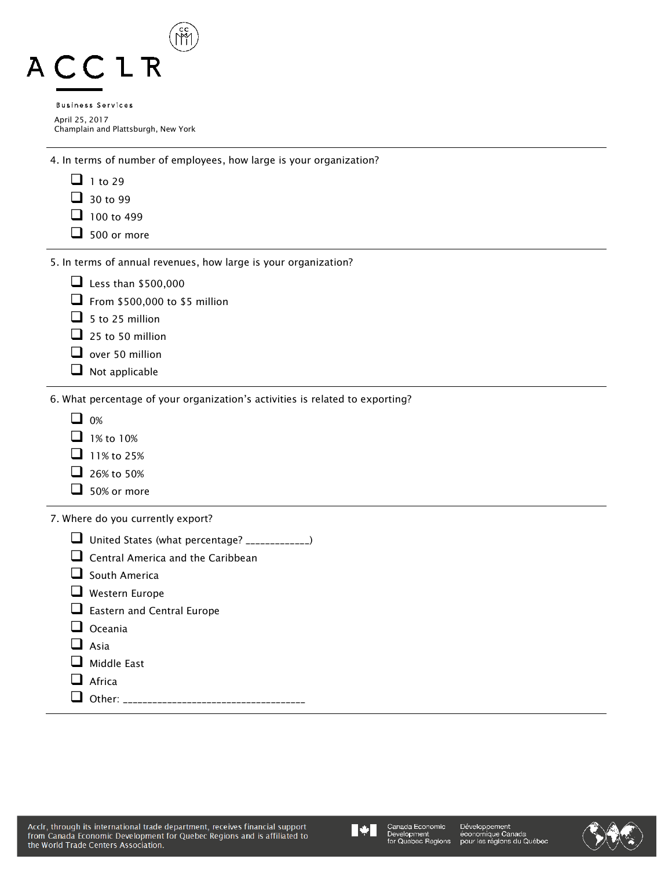| £ | $\mathcal{L}^{\text{max}}$ |  |
|---|----------------------------|--|
|   | <b>Business Services</b>   |  |
|   | April 25, 2017             |  |

Champlain and Plattsburgh, New York

4. In terms of number of employees, how large is your organization?

- $\Box$  1 to 29
- $\Box$  30 to 99
- $\Box$  100 to 499
- $\Box$  500 or more

5. In terms of annual revenues, how large is your organization?

| $\Box$ Less than \$500,000 |  |
|----------------------------|--|
|----------------------------|--|

 $\Box$  From \$500,000 to \$5 million

- $\Box$  5 to 25 million
- $\Box$  25 to 50 million
- $\Box$  over 50 million
- $\Box$  Not applicable

6. What percentage of your organization's activities is related to exporting?

- $\Box$  0%
- $\Box$  1% to 10%
- $\Box$  11% to 25%
- $\Box$  26% to 50%
- $\Box$  50% or more

7. Where do you currently export?

|  | United States (what percentage? _____________) |
|--|------------------------------------------------|
|--|------------------------------------------------|

- $\Box$  Central America and the Caribbean
- $\Box$  South America
- Western Europe

 $\Box$  Eastern and Central Europe

- $\Box$  Oceania
- $\Box$  Asia
- Middle East
- Africa

Other: \_\_\_\_\_\_\_\_\_\_\_\_\_\_\_\_\_\_\_\_\_\_\_\_\_\_\_\_\_\_\_\_\_\_\_\_\_